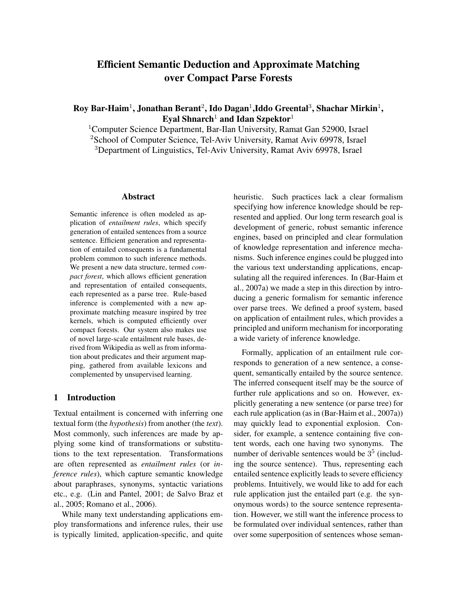# Efficient Semantic Deduction and Approximate Matching over Compact Parse Forests

Roy Bar-Haim $^1$ , Jonathan Berant $^2$ , Ido Dagan $^1$ ,Iddo Greental $^3$ , Shachar Mirkin $^1$ , Eyal Shnarch<sup>1</sup> and Idan Szpektor<sup>1</sup>

<sup>1</sup>Computer Science Department, Bar-Ilan University, Ramat Gan 52900, Israel <sup>2</sup>School of Computer Science, Tel-Aviv University, Ramat Aviv 69978, Israel <sup>3</sup>Department of Linguistics, Tel-Aviv University, Ramat Aviv 69978, Israel

# Abstract

Semantic inference is often modeled as application of *entailment rules*, which specify generation of entailed sentences from a source sentence. Efficient generation and representation of entailed consequents is a fundamental problem common to such inference methods. We present a new data structure, termed *compact forest*, which allows efficient generation and representation of entailed consequents, each represented as a parse tree. Rule-based inference is complemented with a new approximate matching measure inspired by tree kernels, which is computed efficiently over compact forests. Our system also makes use of novel large-scale entailment rule bases, derived from Wikipedia as well as from information about predicates and their argument mapping, gathered from available lexicons and complemented by unsupervised learning.

# 1 Introduction

Textual entailment is concerned with inferring one textual form (the *hypothesis*) from another (the *text*). Most commonly, such inferences are made by applying some kind of transformations or substitutions to the text representation. Transformations are often represented as *entailment rules* (or *inference rules*), which capture semantic knowledge about paraphrases, synonyms, syntactic variations etc., e.g. (Lin and Pantel, 2001; de Salvo Braz et al., 2005; Romano et al., 2006).

While many text understanding applications employ transformations and inference rules, their use is typically limited, application-specific, and quite heuristic. Such practices lack a clear formalism specifying how inference knowledge should be represented and applied. Our long term research goal is development of generic, robust semantic inference engines, based on principled and clear formulation of knowledge representation and inference mechanisms. Such inference engines could be plugged into the various text understanding applications, encapsulating all the required inferences. In (Bar-Haim et al., 2007a) we made a step in this direction by introducing a generic formalism for semantic inference over parse trees. We defined a proof system, based on application of entailment rules, which provides a principled and uniform mechanism for incorporating a wide variety of inference knowledge.

Formally, application of an entailment rule corresponds to generation of a new sentence, a consequent, semantically entailed by the source sentence. The inferred consequent itself may be the source of further rule applications and so on. However, explicitly generating a new sentence (or parse tree) for each rule application (as in (Bar-Haim et al., 2007a)) may quickly lead to exponential explosion. Consider, for example, a sentence containing five content words, each one having two synonyms. The number of derivable sentences would be  $3<sup>5</sup>$  (including the source sentence). Thus, representing each entailed sentence explicitly leads to severe efficiency problems. Intuitively, we would like to add for each rule application just the entailed part (e.g. the synonymous words) to the source sentence representation. However, we still want the inference process to be formulated over individual sentences, rather than over some superposition of sentences whose seman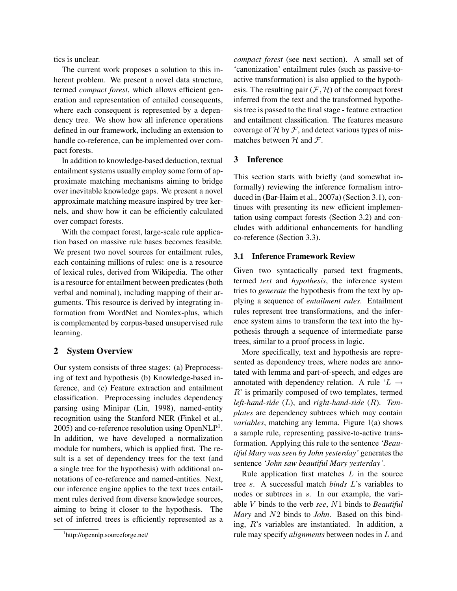tics is unclear.

The current work proposes a solution to this inherent problem. We present a novel data structure, termed *compact forest*, which allows efficient generation and representation of entailed consequents, where each consequent is represented by a dependency tree. We show how all inference operations defined in our framework, including an extension to handle co-reference, can be implemented over compact forests.

In addition to knowledge-based deduction, textual entailment systems usually employ some form of approximate matching mechanisms aiming to bridge over inevitable knowledge gaps. We present a novel approximate matching measure inspired by tree kernels, and show how it can be efficiently calculated over compact forests.

With the compact forest, large-scale rule application based on massive rule bases becomes feasible. We present two novel sources for entailment rules, each containing millions of rules: one is a resource of lexical rules, derived from Wikipedia. The other is a resource for entailment between predicates (both verbal and nominal), including mapping of their arguments. This resource is derived by integrating information from WordNet and Nomlex-plus, which is complemented by corpus-based unsupervised rule learning.

# 2 System Overview

Our system consists of three stages: (a) Preprocessing of text and hypothesis (b) Knowledge-based inference, and (c) Feature extraction and entailment classification. Preprocessing includes dependency parsing using Minipar (Lin, 1998), named-entity recognition using the Stanford NER (Finkel et al.,  $2005$ ) and co-reference resolution using OpenNLP<sup>1</sup>. In addition, we have developed a normalization module for numbers, which is applied first. The result is a set of dependency trees for the text (and a single tree for the hypothesis) with additional annotations of co-reference and named-entities. Next, our inference engine applies to the text trees entailment rules derived from diverse knowledge sources, aiming to bring it closer to the hypothesis. The set of inferred trees is efficiently represented as a *compact forest* (see next section). A small set of 'canonization' entailment rules (such as passive-toactive transformation) is also applied to the hypothesis. The resulting pair  $(F, H)$  of the compact forest inferred from the text and the transformed hypothesis tree is passed to the final stage - feature extraction and entailment classification. The features measure coverage of  $H$  by  $F$ , and detect various types of mismatches between  $H$  and  $F$ .

# 3 Inference

This section starts with briefly (and somewhat informally) reviewing the inference formalism introduced in (Bar-Haim et al., 2007a) (Section 3.1), continues with presenting its new efficient implementation using compact forests (Section 3.2) and concludes with additional enhancements for handling co-reference (Section 3.3).

# 3.1 Inference Framework Review

Given two syntactically parsed text fragments, termed *text* and *hypothesis*, the inference system tries to *generate* the hypothesis from the text by applying a sequence of *entailment rules*. Entailment rules represent tree transformations, and the inference system aims to transform the text into the hypothesis through a sequence of intermediate parse trees, similar to a proof process in logic.

More specifically, text and hypothesis are represented as dependency trees, where nodes are annotated with lemma and part-of-speech, and edges are annotated with dependency relation. A rule ' $L \rightarrow$ R' is primarily composed of two templates, termed *left-hand-side* (L), and *right-hand-side* (R). *Templates* are dependency subtrees which may contain *variables*, matching any lemma. Figure 1(a) shows a sample rule, representing passive-to-active transformation. Applying this rule to the sentence *'Beautiful Mary was seen by John yesterday'* generates the sentence *'John saw beautiful Mary yesterday'*.

Rule application first matches  $L$  in the source tree s. A successful match *binds* L's variables to nodes or subtrees in s. In our example, the variable V binds to the verb *see*, N1 binds to *Beautiful Mary* and N2 binds to *John*. Based on this binding, R's variables are instantiated. In addition, a rule may specify *alignments* between nodes in L and

<sup>1</sup> http://opennlp.sourceforge.net/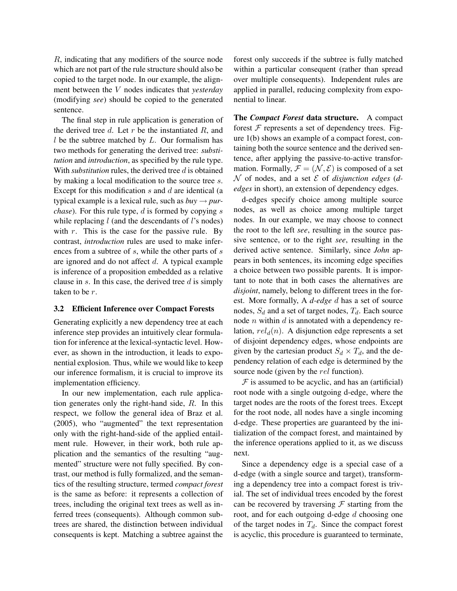R, indicating that any modifiers of the source node which are not part of the rule structure should also be copied to the target node. In our example, the alignment between the V nodes indicates that *yesterday* (modifying *see*) should be copied to the generated sentence.

The final step in rule application is generation of the derived tree  $d$ . Let  $r$  be the instantiated  $R$ , and  $l$  be the subtree matched by  $L$ . Our formalism has two methods for generating the derived tree: *substitution* and *introduction*, as specified by the rule type. With *substitution* rules, the derived tree d is obtained by making a local modification to the source tree s. Except for this modification  $s$  and  $d$  are identical (a typical example is a lexical rule, such as  $buy \rightarrow pur$ *chase*). For this rule type, d is formed by copying s while replacing  $l$  (and the descendants of  $l$ 's nodes) with  $r$ . This is the case for the passive rule. By contrast, *introduction* rules are used to make inferences from a subtree of s, while the other parts of s are ignored and do not affect  $d$ . A typical example is inference of a proposition embedded as a relative clause in s. In this case, the derived tree  $d$  is simply taken to be r.

#### 3.2 Efficient Inference over Compact Forests

Generating explicitly a new dependency tree at each inference step provides an intuitively clear formulation for inference at the lexical-syntactic level. However, as shown in the introduction, it leads to exponential explosion. Thus, while we would like to keep our inference formalism, it is crucial to improve its implementation efficiency.

In our new implementation, each rule application generates only the right-hand side, R. In this respect, we follow the general idea of Braz et al. (2005), who "augmented" the text representation only with the right-hand-side of the applied entailment rule. However, in their work, both rule application and the semantics of the resulting "augmented" structure were not fully specified. By contrast, our method is fully formalized, and the semantics of the resulting structure, termed *compact forest* is the same as before: it represents a collection of trees, including the original text trees as well as inferred trees (consequents). Although common subtrees are shared, the distinction between individual consequents is kept. Matching a subtree against the forest only succeeds if the subtree is fully matched within a particular consequent (rather than spread over multiple consequents). Independent rules are applied in parallel, reducing complexity from exponential to linear.

The *Compact Forest* data structure. A compact forest  $F$  represents a set of dependency trees. Figure 1(b) shows an example of a compact forest, containing both the source sentence and the derived sentence, after applying the passive-to-active transformation. Formally,  $\mathcal{F} = (\mathcal{N}, \mathcal{E})$  is composed of a set  $\mathcal N$  of nodes, and a set  $\mathcal E$  of *disjunction edges* (*dedges* in short), an extension of dependency edges.

d-edges specify choice among multiple source nodes, as well as choice among multiple target nodes. In our example, we may choose to connect the root to the left *see*, resulting in the source passive sentence, or to the right *see*, resulting in the derived active sentence. Similarly, since *John* appears in both sentences, its incoming edge specifies a choice between two possible parents. It is important to note that in both cases the alternatives are *disjoint*, namely, belong to different trees in the forest. More formally, A *d-edge* d has a set of source nodes,  $S_d$  and a set of target nodes,  $T_d$ . Each source node  $n$  within  $d$  is annotated with a dependency relation,  $rel<sub>d</sub>(n)$ . A disjunction edge represents a set of disjoint dependency edges, whose endpoints are given by the cartesian product  $S_d \times T_d$ , and the dependency relation of each edge is determined by the source node (given by the *rel* function).

 $F$  is assumed to be acyclic, and has an (artificial) root node with a single outgoing d-edge, where the target nodes are the roots of the forest trees. Except for the root node, all nodes have a single incoming d-edge. These properties are guaranteed by the initialization of the compact forest, and maintained by the inference operations applied to it, as we discuss next.

Since a dependency edge is a special case of a d-edge (with a single source and target), transforming a dependency tree into a compact forest is trivial. The set of individual trees encoded by the forest can be recovered by traversing  $\mathcal F$  starting from the root, and for each outgoing d-edge d choosing one of the target nodes in  $T_d$ . Since the compact forest is acyclic, this procedure is guaranteed to terminate,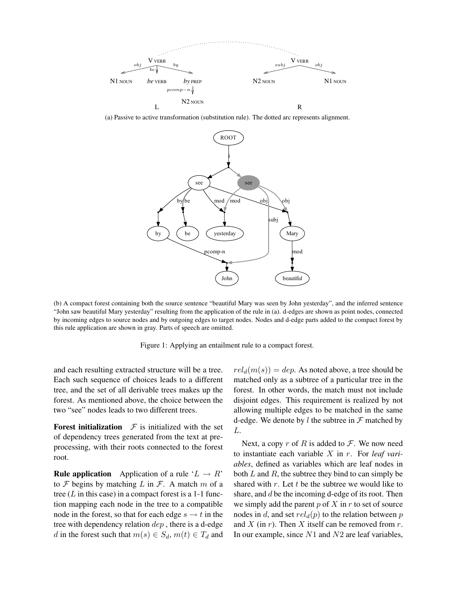

(a) Passive to active transformation (substitution rule). The dotted arc represents alignment.



(b) A compact forest containing both the source sentence "beautiful Mary was seen by John yesterday", and the inferred sentence "John saw beautiful Mary yesterday" resulting from the application of the rule in (a). d-edges are shown as point nodes, connected by incoming edges to source nodes and by outgoing edges to target nodes. Nodes and d-edge parts added to the compact forest by this rule application are shown in gray. Parts of speech are omitted.

Figure 1: Applying an entailment rule to a compact forest.

and each resulting extracted structure will be a tree. Each such sequence of choices leads to a different tree, and the set of all derivable trees makes up the forest. As mentioned above, the choice between the two "see" nodes leads to two different trees.

**Forest initialization**  $\mathcal F$  is initialized with the set of dependency trees generated from the text at preprocessing, with their roots connected to the forest root.

**Rule application** Application of a rule ' $L \rightarrow R$ ' to  $\mathcal F$  begins by matching  $L$  in  $\mathcal F$ . A match  $m$  of a tree  $(L$  in this case) in a compact forest is a 1-1 function mapping each node in the tree to a compatible node in the forest, so that for each edge  $s \rightarrow t$  in the tree with dependency relation dep , there is a d-edge d in the forest such that  $m(s) \in S_d$ ,  $m(t) \in T_d$  and  $rel<sub>d</sub>(m(s)) = dep$ . As noted above, a tree should be matched only as a subtree of a particular tree in the forest. In other words, the match must not include disjoint edges. This requirement is realized by not allowing multiple edges to be matched in the same d-edge. We denote by  $l$  the subtree in  $\mathcal F$  matched by L.

Next, a copy r of R is added to  $\mathcal F$ . We now need to instantiate each variable X in r. For *leaf variables*, defined as variables which are leaf nodes in both  $L$  and  $R$ , the subtree they bind to can simply be shared with  $r$ . Let  $t$  be the subtree we would like to share, and  $d$  be the incoming d-edge of its root. Then we simply add the parent  $p$  of  $X$  in  $r$  to set of source nodes in d, and set  $rel_d(p)$  to the relation between p and  $X$  (in  $r$ ). Then  $X$  itself can be removed from  $r$ . In our example, since  $N1$  and  $N2$  are leaf variables,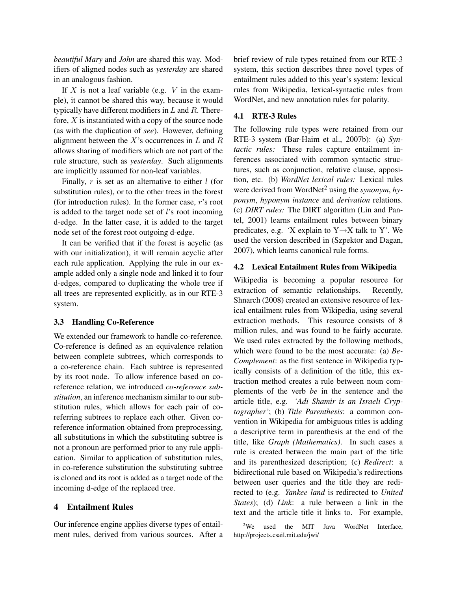*beautiful Mary* and *John* are shared this way. Modifiers of aligned nodes such as *yesterday* are shared in an analogous fashion.

If  $X$  is not a leaf variable (e.g.  $V$  in the example), it cannot be shared this way, because it would typically have different modifiers in  $L$  and  $R$ . Therefore,  $X$  is instantiated with a copy of the source node (as with the duplication of *see*). However, defining alignment between the  $X$ 's occurrences in  $L$  and  $R$ allows sharing of modifiers which are not part of the rule structure, such as *yesterday*. Such alignments are implicitly assumed for non-leaf variables.

Finally,  $r$  is set as an alternative to either  $l$  (for substitution rules), or to the other trees in the forest (for introduction rules). In the former case, r's root is added to the target node set of l's root incoming d-edge. In the latter case, it is added to the target node set of the forest root outgoing d-edge.

It can be verified that if the forest is acyclic (as with our initialization), it will remain acyclic after each rule application. Applying the rule in our example added only a single node and linked it to four d-edges, compared to duplicating the whole tree if all trees are represented explicitly, as in our RTE-3 system.

## 3.3 Handling Co-Reference

We extended our framework to handle co-reference. Co-reference is defined as an equivalence relation between complete subtrees, which corresponds to a co-reference chain. Each subtree is represented by its root node. To allow inference based on coreference relation, we introduced *co-reference substitution*, an inference mechanism similar to our substitution rules, which allows for each pair of coreferring subtrees to replace each other. Given coreference information obtained from preprocessing, all substitutions in which the substituting subtree is not a pronoun are performed prior to any rule application. Similar to application of substitution rules, in co-reference substitution the substituting subtree is cloned and its root is added as a target node of the incoming d-edge of the replaced tree.

#### 4 Entailment Rules

Our inference engine applies diverse types of entailment rules, derived from various sources. After a brief review of rule types retained from our RTE-3 system, this section describes three novel types of entailment rules added to this year's system: lexical rules from Wikipedia, lexical-syntactic rules from WordNet, and new annotation rules for polarity.

#### 4.1 RTE-3 Rules

The following rule types were retained from our RTE-3 system (Bar-Haim et al., 2007b): (a) *Syntactic rules:* These rules capture entailment inferences associated with common syntactic structures, such as conjunction, relative clause, apposition, etc. (b) *WordNet lexical rules:* Lexical rules were derived from WordNet<sup>2</sup> using the *synonym*, *hyponym*, *hyponym instance* and *derivation* relations. (c) *DIRT rules:* The DIRT algorithm (Lin and Pantel, 2001) learns entailment rules between binary predicates, e.g. *'*X explain to Y→X talk to Y'. We used the version described in (Szpektor and Dagan, 2007), which learns canonical rule forms.

## 4.2 Lexical Entailment Rules from Wikipedia

Wikipedia is becoming a popular resource for extraction of semantic relationships. Recently, Shnarch (2008) created an extensive resource of lexical entailment rules from Wikipedia, using several extraction methods. This resource consists of 8 million rules, and was found to be fairly accurate. We used rules extracted by the following methods, which were found to be the most accurate: (a) *Be-Complement*: as the first sentence in Wikipedia typically consists of a definition of the title, this extraction method creates a rule between noun complements of the verb *be* in the sentence and the article title, e.g. *'Adi Shamir is an Israeli Cryptographer'*; (b) *Title Parenthesis*: a common convention in Wikipedia for ambiguous titles is adding a descriptive term in parenthesis at the end of the title, like *Graph (Mathematics)*. In such cases a rule is created between the main part of the title and its parenthesized description; (c) *Redirect*: a bidirectional rule based on Wikipedia's redirections between user queries and the title they are redirected to (e.g. *Yankee land* is redirected to *United States*); (d) *Link*: a rule between a link in the text and the article title it links to. For example,

 $2$ We used the MIT Java WordNet Interface, http://projects.csail.mit.edu/jwi/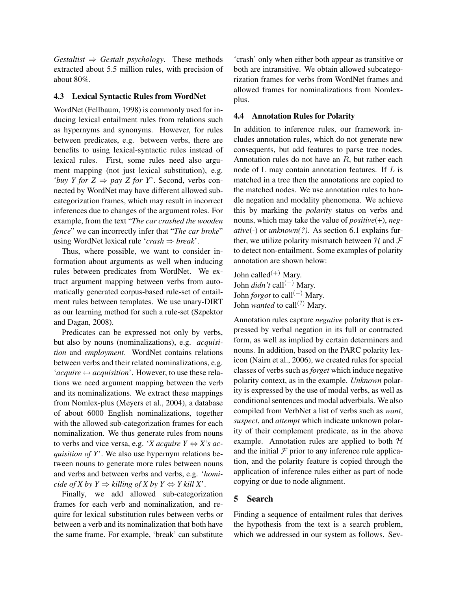*Gestaltist*  $\Rightarrow$  *Gestalt psychology*. These methods extracted about 5.5 million rules, with precision of about 80%.

# 4.3 Lexical Syntactic Rules from WordNet

WordNet (Fellbaum, 1998) is commonly used for inducing lexical entailment rules from relations such as hypernyms and synonyms. However, for rules between predicates, e.g. between verbs, there are benefits to using lexical-syntactic rules instead of lexical rules. First, some rules need also argument mapping (not just lexical substitution), e.g. *'buy Y for Z*  $\Rightarrow$  *pay Z for Y'.* Second, verbs connected by WordNet may have different allowed subcategorization frames, which may result in incorrect inferences due to changes of the argument roles. For example, from the text "*The car crashed the wooden fence*" we can incorrectly infer that "*The car broke*" using WordNet lexical rule '*crash* ⇒ *break*'.

Thus, where possible, we want to consider information about arguments as well when inducing rules between predicates from WordNet. We extract argument mapping between verbs from automatically generated corpus-based rule-set of entailment rules between templates. We use unary-DIRT as our learning method for such a rule-set (Szpektor and Dagan, 2008).

Predicates can be expressed not only by verbs, but also by nouns (nominalizations), e.g. *acquisition* and *employment*. WordNet contains relations between verbs and their related nominalizations, e.g. '*acquire* ↔ *acquisition*'. However, to use these relations we need argument mapping between the verb and its nominalizations. We extract these mappings from Nomlex-plus (Meyers et al., 2004), a database of about 6000 English nominalizations, together with the allowed sub-categorization frames for each nominalization. We thus generate rules from nouns to verbs and vice versa, e.g. '*X acquire Y*  $\Leftrightarrow$  *X*'s ac*quisition of Y*'. We also use hypernym relations between nouns to generate more rules between nouns and verbs and between verbs and verbs, e.g. '*homicide of X by Y*  $\Rightarrow$  *killing of X by Y*  $\Leftrightarrow$  *Y kill X*<sup>'</sup>.

Finally, we add allowed sub-categorization frames for each verb and nominalization, and require for lexical substitution rules between verbs or between a verb and its nominalization that both have the same frame. For example, 'break' can substitute

'crash' only when either both appear as transitive or both are intransitive. We obtain allowed subcategorization frames for verbs from WordNet frames and allowed frames for nominalizations from Nomlexplus.

# 4.4 Annotation Rules for Polarity

In addition to inference rules, our framework includes annotation rules, which do not generate new consequents, but add features to parse tree nodes. Annotation rules do not have an R, but rather each node of L may contain annotation features. If L is matched in a tree then the annotations are copied to the matched nodes. We use annotation rules to handle negation and modality phenomena. We achieve this by marking the *polarity* status on verbs and nouns, which may take the value of *positive*(+), *negative*(-) or *unknown(?)*. As section 6.1 explains further, we utilize polarity mismatch between  $H$  and  $F$ to detect non-entailment. Some examples of polarity annotation are shown below:

John called<sup>(+)</sup> Mary. John *didn't* call(−) Mary. John *forgot* to call<sup>(−)</sup> Mary. John *wanted* to call<sup>(?)</sup> Mary.

Annotation rules capture *negative* polarity that is expressed by verbal negation in its full or contracted form, as well as implied by certain determiners and nouns. In addition, based on the PARC polarity lexicon (Nairn et al., 2006), we created rules for special classes of verbs such as *forget* which induce negative polarity context, as in the example. *Unknown* polarity is expressed by the use of modal verbs, as well as conditional sentences and modal adverbials. We also compiled from VerbNet a list of verbs such as *want*, *suspect*, and *attempt* which indicate unknown polarity of their complement predicate, as in the above example. Annotation rules are applied to both  $H$ and the initial  $\mathcal F$  prior to any inference rule application, and the polarity feature is copied through the application of inference rules either as part of node copying or due to node alignment.

# 5 Search

Finding a sequence of entailment rules that derives the hypothesis from the text is a search problem, which we addressed in our system as follows. Sev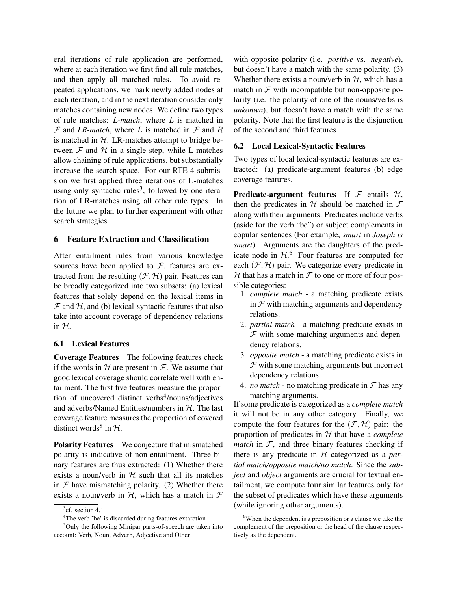eral iterations of rule application are performed, where at each iteration we first find all rule matches, and then apply all matched rules. To avoid repeated applications, we mark newly added nodes at each iteration, and in the next iteration consider only matches containing new nodes. We define two types of rule matches: *L-match*, where L is matched in  $F$  and *LR-match*, where *L* is matched in  $F$  and *R* is matched in  $H$ . LR-matches attempt to bridge between  $F$  and  $H$  in a single step, while L-matches allow chaining of rule applications, but substantially increase the search space. For our RTE-4 submission we first applied three iterations of L-matches using only syntactic rules<sup>3</sup>, followed by one iteration of LR-matches using all other rule types. In the future we plan to further experiment with other search strategies.

# 6 Feature Extraction and Classification

After entailment rules from various knowledge sources have been applied to  $F$ , features are extracted from the resulting  $(F, H)$  pair. Features can be broadly categorized into two subsets: (a) lexical features that solely depend on the lexical items in  $F$  and  $H$ , and (b) lexical-syntactic features that also take into account coverage of dependency relations in  $H$ .

# 6.1 Lexical Features

Coverage Features The following features check if the words in  $H$  are present in  $F$ . We assume that good lexical coverage should correlate well with entailment. The first five features measure the proportion of uncovered distinct verbs<sup>4</sup>/nouns/adjectives and adverbs/Named Entities/numbers in  $H$ . The last coverage feature measures the proportion of covered distinct words<sup>5</sup> in  $H$ .

Polarity Features We conjecture that mismatched polarity is indicative of non-entailment. Three binary features are thus extracted: (1) Whether there exists a noun/verb in  $H$  such that all its matches in  $\mathcal F$  have mismatching polarity. (2) Whether there exists a noun/verb in  $H$ , which has a match in  $F$ 

<sup>5</sup>Only the following Minipar parts-of-speech are taken into account: Verb, Noun, Adverb, Adjective and Other

with opposite polarity (i.e. *positive* vs. *negative*), but doesn't have a match with the same polarity. (3) Whether there exists a noun/verb in  $H$ , which has a match in  $\mathcal F$  with incompatible but non-opposite polarity (i.e. the polarity of one of the nouns/verbs is *unkonwn*), but doesn't have a match with the same polarity. Note that the first feature is the disjunction of the second and third features.

# 6.2 Local Lexical-Syntactic Features

Two types of local lexical-syntactic features are extracted: (a) predicate-argument features (b) edge coverage features.

**Predicate-argument features** If  $\mathcal F$  entails  $\mathcal H$ , then the predicates in H should be matched in  $\mathcal F$ along with their arguments. Predicates include verbs (aside for the verb "be") or subject complements in copular sentences (For example, *smart* in *Joseph is smart*). Arguments are the daughters of the predicate node in  $H<sup>6</sup>$ . Four features are computed for each  $(\mathcal{F}, \mathcal{H})$  pair. We categorize every predicate in  $H$  that has a match in  $F$  to one or more of four possible categories:

- 1. *complete match* a matching predicate exists in  $F$  with matching arguments and dependency relations.
- 2. *partial match* a matching predicate exists in  $F$  with some matching arguments and dependency relations.
- 3. *opposite match* a matching predicate exists in  $F$  with some matching arguments but incorrect dependency relations.
- 4. *no match* no matching predicate in  $\mathcal F$  has any matching arguments.

If some predicate is categorized as a *complete match* it will not be in any other category. Finally, we compute the four features for the  $(\mathcal{F}, \mathcal{H})$  pair: the proportion of predicates in H that have a *complete match* in  $F$ , and three binary features checking if there is any predicate in H categorized as a *partial match/opposite match/no match*. Since the *subject* and *object* arguments are crucial for textual entailment, we compute four similar features only for the subset of predicates which have these arguments (while ignoring other arguments).

 $3$ cf. section 4.1

<sup>&</sup>lt;sup>4</sup>The verb 'be' is discarded during features extarction

 $6$ When the dependent is a preposition or a clause we take the complement of the preposition or the head of the clause respectively as the dependent.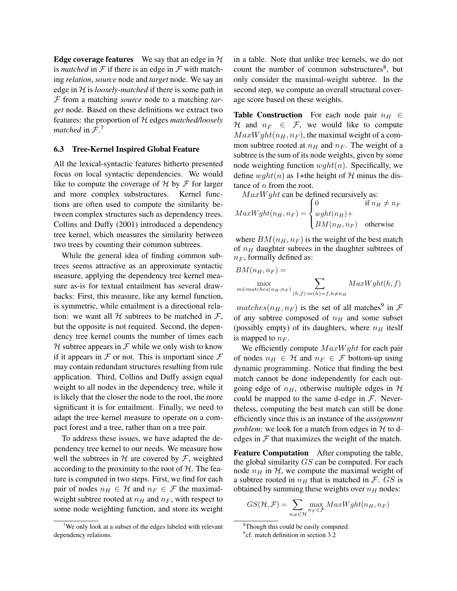**Edge coverage features** We say that an edge in  $H$ is *matched* in  $F$  if there is an edge in  $F$  with matching *relation*, *source* node and *target* node. We say an edge in H is *loosely-matched* if there is some path in F from a matching *source* node to a matching *target* node. Based on these definitions we extract two features: the proportion of H edges *matched/loosely matched* in F. 7

#### 6.3 Tree-Kernel Inspired Global Feature

All the lexical-syntactic features hitherto presented focus on local syntactic dependencies. We would like to compute the coverage of  $H$  by  $F$  for larger and more complex substructures. Kernel functions are often used to compute the similarity between complex structures such as dependency trees. Collins and Duffy (2001) introduced a dependency tree kernel, which measures the similarity between two trees by counting their common subtrees.

While the general idea of finding common subtrees seems attractive as an approximate syntactic measure, applying the dependency tree kernel measure as-is for textual entailment has several drawbacks: First, this measure, like any kernel function, is symmetric, while entailment is a directional relation: we want all  $H$  subtrees to be matched in  $F$ , but the opposite is not required. Second, the dependency tree kernel counts the number of times each H subtree appears in  $\mathcal F$  while we only wish to know if it appears in  $\mathcal F$  or not. This is important since  $\mathcal F$ may contain redundant structures resulting from rule application. Third, Collins and Duffy assign equal weight to all nodes in the dependency tree, while it is likely that the closer the node to the root, the more significant it is for entailment. Finally, we need to adapt the tree kernel measure to operate on a compact forest and a tree, rather than on a tree pair.

To address these issues, we have adapted the dependency tree kernel to our needs. We measure how well the subtrees in  $H$  are covered by  $F$ , weighted according to the proximity to the root of  $H$ . The feature is computed in two steps. First, we find for each pair of nodes  $n_H \in \mathcal{H}$  and  $n_F \in \mathcal{F}$  the maximalweight subtree rooted at  $n_H$  and  $n_F$ , with respect to some node weighting function, and store its weight

in a table. Note that unlike tree kernels, we do not count the number of common substructures<sup>8</sup>, but only consider the maximal-weight subtree. In the second step, we compute an overall structural coverage score based on these weights.

Table Construction For each node pair  $n_H \in$ H and  $n_F \in \mathcal{F}$ , we would like to compute  $MaxWght(n<sub>H</sub>, n<sub>F</sub>)$ , the maximal weight of a common subtree rooted at  $n_H$  and  $n_F$ . The weight of a subtree is the sum of its node weights, given by some node weighting function  $wght(n)$ . Specifically, we define  $wght(n)$  as 1+the height of H minus the distance of  $n$  from the root.

 $MaxW ght$  can be defined recursively as:

$$
MaxWght(n_H, n_F) = \begin{cases} 0 & \text{if } n_H \neq n_F \\ wght(n_H) + \\ BM(n_H, n_F) & \text{otherwise} \end{cases}
$$

where  $BM(n_H, n_F)$  is the weight of the best match of  $n_H$  daughter subrees in the daughter subtrees of  $n_F$ , formally defined as:

$$
BM(n_H, n_F) = \sum_{m \in matches(n_H, n_F)} \sum_{(h, f): m(h) = f, h \neq n_H} MaxWght(h, f)
$$

 $matches(n_H, n_F)$  is the set of all matches<sup>9</sup> in  $\mathcal{F}$ of any subtree composed of  $n_H$  and some subset (possibly empty) of its daughters, where  $n_H$  iteslf is mapped to  $n_F$ .

We efficiently compute  $MaxWght$  for each pair of nodes  $n_H \in \mathcal{H}$  and  $n_F \in \mathcal{F}$  bottom-up using dynamic programming. Notice that finding the best match cannot be done independently for each outgoing edge of  $n_H$ , otherwise multiple edges in  $H$ could be mapped to the same d-edge in  $F$ . Nevertheless, computing the best match can still be done efficiently since this is an instance of the *assignment problem*: we look for a match from edges in  $H$  to dedges in  $F$  that maximizes the weight of the match.

Feature Computation After computing the table, the global similarity GS can be computed. For each node  $n_H$  in  $H$ , we compute the maximal weight of a subtree rooted in  $n_H$  that is matched in F. GS is obtained by summing these weights over  $n_H$  nodes:

$$
GS(\mathcal{H}, \mathcal{F}) = \sum_{n_H \in \mathcal{H}} \max_{n_F \in \mathcal{F}} MaxWght(n_H, n_F)
$$

 $7$ We only look at a subset of the edges labeled with relevant dependency relations.

<sup>&</sup>lt;sup>8</sup>Though this could be easily computed.

<sup>&</sup>lt;sup>9</sup>cf. match definition in section 3.2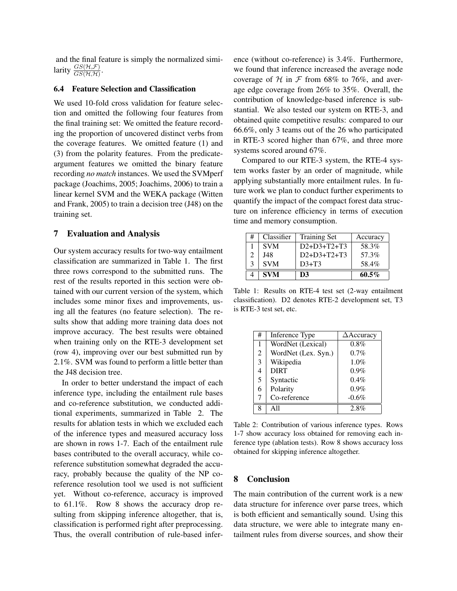and the final feature is simply the normalized similarity  $\frac{GS(\mathcal{H}, \mathcal{F})}{GS(\mathcal{H}, \mathcal{H})}$ .

#### 6.4 Feature Selection and Classification

We used 10-fold cross validation for feature selection and omitted the following four features from the final training set: We omitted the feature recording the proportion of uncovered distinct verbs from the coverage features. We omitted feature (1) and (3) from the polarity features. From the predicateargument features we omitted the binary feature recording *no match* instances. We used the SVMperf package (Joachims, 2005; Joachims, 2006) to train a linear kernel SVM and the WEKA package (Witten and Frank, 2005) to train a decision tree (J48) on the training set.

## 7 Evaluation and Analysis

Our system accuracy results for two-way entailment classification are summarized in Table 1. The first three rows correspond to the submitted runs. The rest of the results reported in this section were obtained with our current version of the system, which includes some minor fixes and improvements, using all the features (no feature selection). The results show that adding more training data does not improve accuracy. The best results were obtained when training only on the RTE-3 development set (row 4), improving over our best submitted run by 2.1%. SVM was found to perform a little better than the J48 decision tree.

In order to better understand the impact of each inference type, including the entailment rule bases and co-reference substitution, we conducted additional experiments, summarized in Table 2. The results for ablation tests in which we excluded each of the inference types and measured accuracy loss are shown in rows 1-7. Each of the entailment rule bases contributed to the overall accuracy, while coreference substitution somewhat degraded the accuracy, probably because the quality of the NP coreference resolution tool we used is not sufficient yet. Without co-reference, accuracy is improved to 61.1%. Row 8 shows the accuracy drop resulting from skipping inference altogether, that is, classification is performed right after preprocessing. Thus, the overall contribution of rule-based inference (without co-reference) is 3.4%. Furthermore, we found that inference increased the average node coverage of  $H$  in  $F$  from 68% to 76%, and average edge coverage from 26% to 35%. Overall, the contribution of knowledge-based inference is substantial. We also tested our system on RTE-3, and obtained quite competitive results: compared to our 66.6%, only 3 teams out of the 26 who participated in RTE-3 scored higher than 67%, and three more systems scored around 67%.

Compared to our RTE-3 system, the RTE-4 system works faster by an order of magnitude, while applying substantially more entailment rules. In future work we plan to conduct further experiments to quantify the impact of the compact forest data structure on inference efficiency in terms of execution time and memory consumption.

| #              | Classifier | <b>Training Set</b> | Accuracy |
|----------------|------------|---------------------|----------|
|                | <b>SVM</b> | $D2+D3+T2+T3$       | 58.3%    |
| $\mathfrak{D}$ | J48        | $D2+D3+T2+T3$       | 57.3%    |
| 3              | <b>SVM</b> | $D3+T3$             | 58.4%    |
|                | <b>SVM</b> | D3                  | $60.5\%$ |

Table 1: Results on RTE-4 test set (2-way entailment classification). D2 denotes RTE-2 development set, T3 is RTE-3 test set, etc.

| # | Inference Type      | $\triangle$ Accuracy |
|---|---------------------|----------------------|
| 1 | WordNet (Lexical)   | 0.8%                 |
| 2 | WordNet (Lex. Syn.) | $0.7\%$              |
| 3 | Wikipedia           | 1.0%                 |
| 4 | <b>DIRT</b>         | $0.9\%$              |
| 5 | Syntactic           | 0.4%                 |
| 6 | Polarity            | $0.9\%$              |
| 7 | Co-reference        | $-0.6%$              |
| Ջ |                     | 2.8%                 |

Table 2: Contribution of various inference types. Rows 1-7 show accuracy loss obtained for removing each inference type (ablation tests). Row 8 shows accuracy loss obtained for skipping inference altogether.

## 8 Conclusion

The main contribution of the current work is a new data structure for inference over parse trees, which is both efficient and semantically sound. Using this data structure, we were able to integrate many entailment rules from diverse sources, and show their